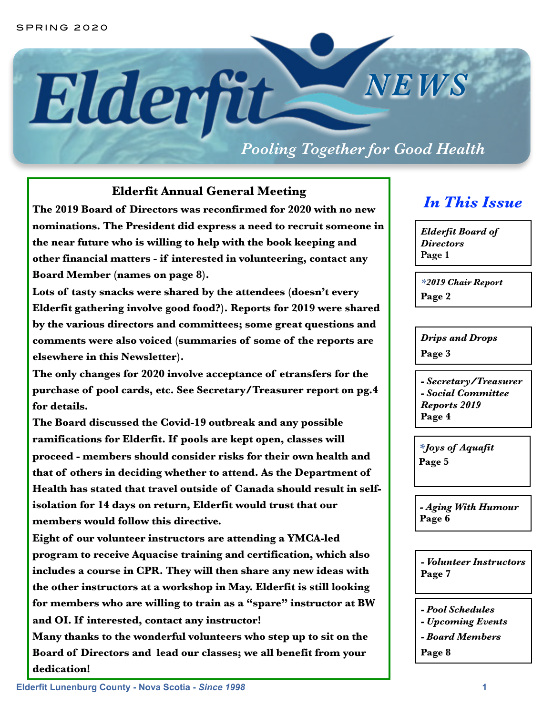# *NEWS* Elderfit-

## *Pooling Together for Good Health*

#### **Elderfit Annual General Meeting**

**The 2019 Board of Directors was reconfirmed for 2020 with no new nominations. The President did express a need to recruit someone in the near future who is willing to help with the book keeping and other financial matters - if interested in volunteering, contact any Board Member (names on page 8).** 

**Lots of tasty snacks were shared by the attendees (doesn't every Elderfit gathering involve good food?). Reports for 2019 were shared by the various directors and committees; some great questions and comments were also voiced (summaries of some of the reports are elsewhere in this Newsletter).** 

**The only changes for 2020 involve acceptance of etransfers for the purchase of pool cards, etc. See Secretary/Treasurer report on pg.4 for details.** 

**The Board discussed the Covid-19 outbreak and any possible ramifications for Elderfit. If pools are kept open, classes will proceed - members should consider risks for their own health and that of others in deciding whether to attend. As the Department of Health has stated that travel outside of Canada should result in selfisolation for 14 days on return, Elderfit would trust that our members would follow this directive.** 

**Eight of our volunteer instructors are attending a YMCA-led program to receive Aquacise training and certification, which also includes a course in CPR. They will then share any new ideas with the other instructors at a workshop in May. Elderfit is still looking for members who are willing to train as a "spare" instructor at BW and OI. If interested, contact any instructor!** 

**Many thanks to the wonderful volunteers who step up to sit on the Board of Directors and lead our classes; we all benefit from your dedication!**

## *In This Issue*

*Elderfit Board of Directors*  **Page 1**

*\*2019 Chair Report*  **Page 2**

*Drips and Drops*  **Page 3**

*- Secretary/Treasurer - Social Committee Reports 2019*  **Page 4** 

*\*Joys of Aquafit*  **Page 5** 

*- Aging With Humour* **Page 6**

*- Volunteer Instructors*  **Page 7**

*- Pool Schedules* 

- *Upcoming Events*
- *Board Members*

**Page 8**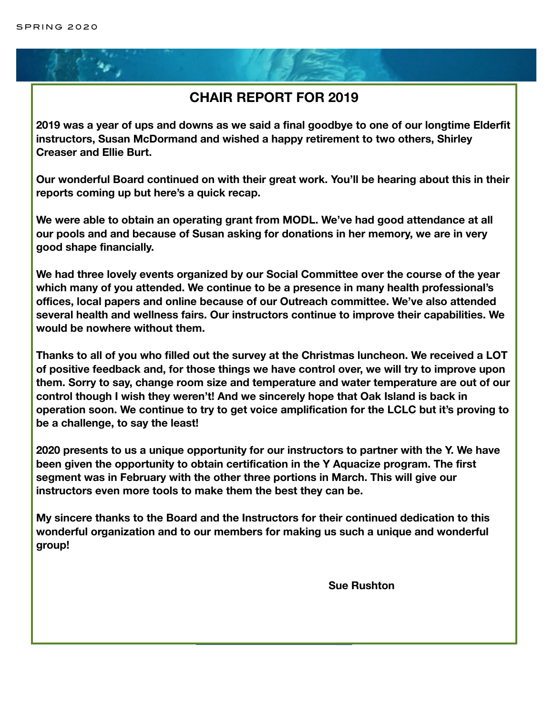### **CHAIR REPORT FOR 2019**

**2019 was a year of ups and downs as we said a final goodbye to one of our longtime Elderfit instructors, Susan McDormand and wished a happy retirement to two others, Shirley Creaser and Ellie Burt.** 

**Our wonderful Board continued on with their great work. You'll be hearing about this in their reports coming up but here's a quick recap.** 

**We were able to obtain an operating grant from MODL. We've had good attendance at all our pools and and because of Susan asking for donations in her memory, we are in very good shape financially.** 

**We had three lovely events organized by our Social Committee over the course of the year which many of you attended. We continue to be a presence in many health professional's offices, local papers and online because of our Outreach committee. We've also attended several health and wellness fairs. Our instructors continue to improve their capabilities. We would be nowhere without them.** 

**Thanks to all of you who filled out the survey at the Christmas luncheon. We received a LOT of positive feedback and, for those things we have control over, we will try to improve upon them. Sorry to say, change room size and temperature and water temperature are out of our control though I wish they weren't! And we sincerely hope that Oak Island is back in operation soon. We continue to try to get voice amplification for the LCLC but it's proving to be a challenge, to say the least!** 

**2020 presents to us a unique opportunity for our instructors to partner with the Y. We have been given the opportunity to obtain certification in the Y Aquacize program. The first segment was in February with the other three portions in March. This will give our instructors even more tools to make them the best they can be.** 

**My sincere thanks to the Board and the Instructors for their continued dedication to this wonderful organization and to our members for making us such a unique and wonderful group!** 

**Sue Rushton**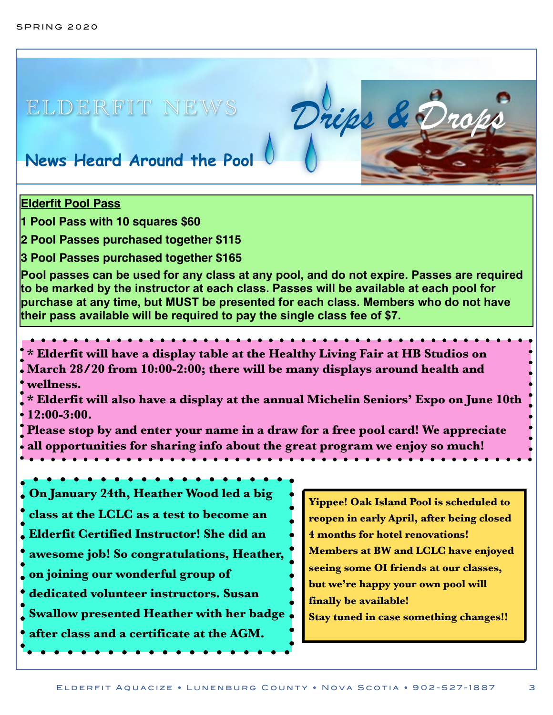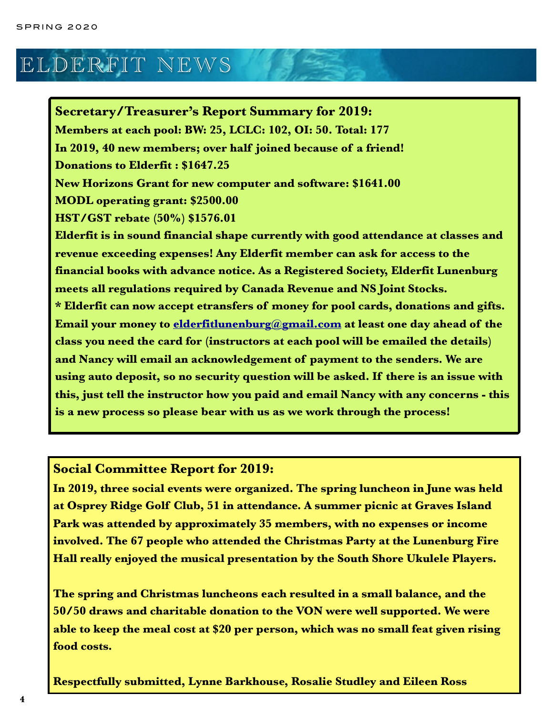# ELDERFIT NEWS

**Secretary/Treasurer's Report Summary for 2019: Members at each pool: BW: 25, LCLC: 102, OI: 50. Total: 177 In 2019, 40 new members; over half joined because of a friend! Donations to Elderfit : \$1647.25 New Horizons Grant for new computer and software: \$1641.00 MODL operating grant: \$2500.00 HST/GST rebate (50%) \$1576.01 Elderfit is in sound financial shape currently with good attendance at classes and revenue exceeding expenses! Any Elderfit member can ask for access to the financial books with advance notice. As a Registered Society, Elderfit Lunenburg meets all regulations required by Canada Revenue and NS Joint Stocks. \* Elderfit can now accept etransfers of money for pool cards, donations and gifts. Email your money to [elderfitlunenburg@gmail.com](mailto:elderfitlunenburg@gmail.com) at least one day ahead of the class you need the card for (instructors at each pool will be emailed the details) and Nancy will email an acknowledgement of payment to the senders. We are using auto deposit, so no security question will be asked. If there is an issue with this, just tell the instructor how you paid and email Nancy with any concerns - this is a new process so please bear with us as we work through the process!**

#### **Social Committee Report for 2019:**

**In 2019, three social events were organized. The spring luncheon in June was held at Osprey Ridge Golf Club, 51 in attendance. A summer picnic at Graves Island Park was attended by approximately 35 members, with no expenses or income involved. The 67 people who attended the Christmas Party at the Lunenburg Fire Hall really enjoyed the musical presentation by the South Shore Ukulele Players.** 

**The spring and Christmas luncheons each resulted in a small balance, and the 50/50 draws and charitable donation to the VON were well supported. We were able to keep the meal cost at \$20 per person, which was no small feat given rising food costs.** 

**Respectfully submitted, Lynne Barkhouse, Rosalie Studley and Eileen Ross**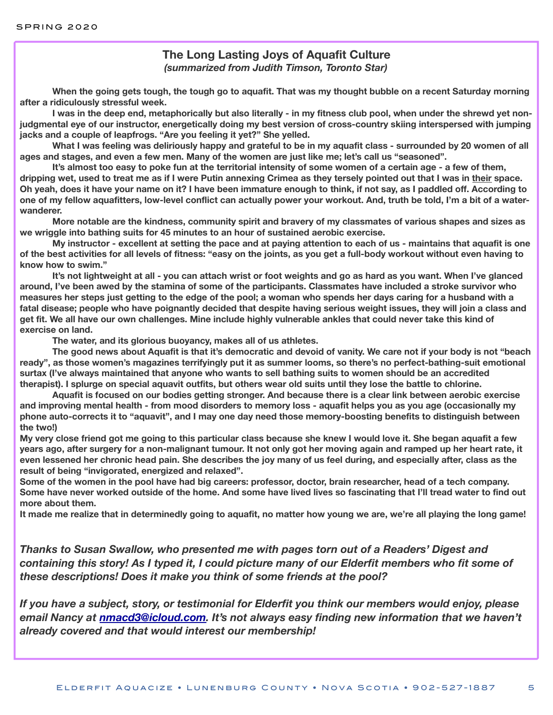#### **The Long Lasting Joys of Aquafit Culture** *(summarized from Judith Timson, Toronto Star)*

**When the going gets tough, the tough go to aquafit. That was my thought bubble on a recent Saturday morning after a ridiculously stressful week.** 

**I was in the deep end, metaphorically but also literally - in my fitness club pool, when under the shrewd yet nonjudgmental eye of our instructor, energetically doing my best version of cross-country skiing interspersed with jumping jacks and a couple of leapfrogs. "Are you feeling it yet?" She yelled.** 

**What I was feeling was deliriously happy and grateful to be in my aquafit class - surrounded by 20 women of all ages and stages, and even a few men. Many of the women are just like me; let's call us "seasoned".** 

**It's almost too easy to poke fun at the territorial intensity of some women of a certain age - a few of them, dripping wet, used to treat me as if I were Putin annexing Crimea as they tersely pointed out that I was in their space. Oh yeah, does it have your name on it? I have been immature enough to think, if not say, as I paddled off. According to one of my fellow aquafitters, low-level conflict can actually power your workout. And, truth be told, I'm a bit of a waterwanderer.** 

**More notable are the kindness, community spirit and bravery of my classmates of various shapes and sizes as we wriggle into bathing suits for 45 minutes to an hour of sustained aerobic exercise.** 

**My instructor - excellent at setting the pace and at paying attention to each of us - maintains that aquafit is one of the best activities for all levels of fitness: "easy on the joints, as you get a full-body workout without even having to know how to swim."** 

**It's not lightweight at all - you can attach wrist or foot weights and go as hard as you want. When I've glanced around, I've been awed by the stamina of some of the participants. Classmates have included a stroke survivor who measures her steps just getting to the edge of the pool; a woman who spends her days caring for a husband with a fatal disease; people who have poignantly decided that despite having serious weight issues, they will join a class and get fit. We all have our own challenges. Mine include highly vulnerable ankles that could never take this kind of exercise on land.** 

**The water, and its glorious buoyancy, makes all of us athletes.** 

**The good news about Aquafit is that it's democratic and devoid of vanity. We care not if your body is not "beach ready", as those women's magazines terrifyingly put it as summer looms, so there's no perfect-bathing-suit emotional surtax (I've always maintained that anyone who wants to sell bathing suits to women should be an accredited therapist). I splurge on special aquavit outfits, but others wear old suits until they lose the battle to chlorine.** 

**Aquafit is focused on our bodies getting stronger. And because there is a clear link between aerobic exercise and improving mental health - from mood disorders to memory loss - aquafit helps you as you age (occasionally my phone auto-corrects it to "aquavit", and I may one day need those memory-boosting benefits to distinguish between the two!)** 

**My very close friend got me going to this particular class because she knew I would love it. She began aquafit a few years ago, after surgery for a non-malignant tumour. It not only got her moving again and ramped up her heart rate, it even lessened her chronic head pain. She describes the joy many of us feel during, and especially after, class as the result of being "invigorated, energized and relaxed".** 

**Some of the women in the pool have had big careers: professor, doctor, brain researcher, head of a tech company. Some have never worked outside of the home. And some have lived lives so fascinating that I'll tread water to find out more about them.** 

**It made me realize that in determinedly going to aquafit, no matter how young we are, we're all playing the long game!** 

*Thanks to Susan Swallow, who presented me with pages torn out of a Readers' Digest and containing this story! As I typed it, I could picture many of our Elderfit members who fit some of these descriptions! Does it make you think of some friends at the pool?* 

*If you have a subject, story, or testimonial for Elderfit you think our members would enjoy, please email Nancy at [nmacd3@icloud.com](mailto:nmacd3@icloud.com). It's not always easy finding new information that we haven't already covered and that would interest our membership!*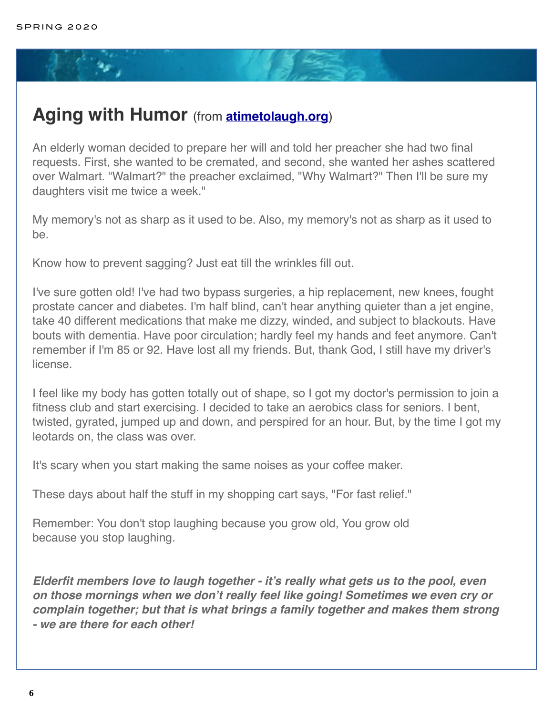## **Aging with Humor** (from **[atimetolaugh.org](http://atimetolaugh.org)**)

An elderly woman decided to prepare her will and told her preacher she had two final requests. First, she wanted to be cremated, and second, she wanted her ashes scattered over Walmart. "Walmart?" the preacher exclaimed, "Why Walmart?" Then I'll be sure my daughters visit me twice a week."

My memory's not as sharp as it used to be. Also, my memory's not as sharp as it used to be.

Know how to prevent sagging? Just eat till the wrinkles fill out.

I've sure gotten old! I've had two bypass surgeries, a hip replacement, new knees, fought prostate cancer and diabetes. I'm half blind, can't hear anything quieter than a jet engine, take 40 different medications that make me dizzy, winded, and subject to blackouts. Have bouts with dementia. Have poor circulation; hardly feel my hands and feet anymore. Can't remember if I'm 85 or 92. Have lost all my friends. But, thank God, I still have my driver's license.

I feel like my body has gotten totally out of shape, so I got my doctor's permission to join a fitness club and start exercising. I decided to take an aerobics class for seniors. I bent, twisted, gyrated, jumped up and down, and perspired for an hour. But, by the time I got my leotards on, the class was over.

It's scary when you start making the same noises as your coffee maker.

These days about half the stuff in my shopping cart says, "For fast relief."

Remember: You don't stop laughing because you grow old, You grow old because you stop laughing.

*Elderfit members love to laugh together - it's really what gets us to the pool, even on those mornings when we don't really feel like going! Sometimes we even cry or complain together; but that is what brings a family together and makes them strong - we are there for each other!*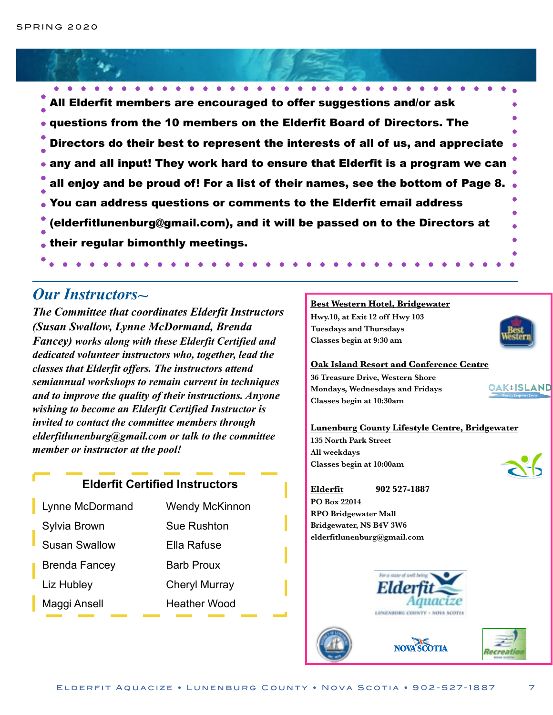All Elderfit members are encouraged to offer suggestions and/or ask questions from the 10 members on the Elderfit Board of Directors. The Directors do their best to represent the interests of all of us, and appreciate any and all input! They work hard to ensure that Elderfit is a program we can all enjoy and be proud of! For a list of their names, see the bottom of Page 8. You can address questions or comments to the Elderfit email address (elderfitlunenburg@gmail.com), and it will be passed on to the Directors at their regular bimonthly meetings.

## **Our Instructors**

*The Committee that coordinates Elderfit Instructors (Susan Swallow, Lynne McDormand, Brenda Fancey) works along with these Elderfit Certified and dedicated volunteer instructors who, together, lead the classes that Elderfit offers. The instructors attend semiannual workshops to remain current in techniques and to improve the quality of their instructions. Anyone wishing to become an Elderfit Certified Instructor is invited to contact the committee members through elderfitlunenburg@gmail.com or talk to the committee member or instructor at the pool!*

#### **Elderfit Certified Instructors**

| Lynne McDormand      | <b>Wendy McKinnon</b> |
|----------------------|-----------------------|
| Sylvia Brown         | Sue Rushton           |
| Susan Swallow        | Ella Rafuse           |
| <b>Brenda Fancey</b> | <b>Barb Proux</b>     |
| Liz Hubley           | <b>Cheryl Murray</b>  |
| Maggi Ansell         | <b>Heather Wood</b>   |

#### **Best Western Hotel, Bridgewater**

**Hwy.10, at Exit 12 off Hwy 103 Tuesdays and Thursdays Classes begin at 9:30 am** 

#### **Oak Island Resort and Conference Centre**

**36 Treasure Drive, Western Shore Mondays, Wednesdays and Fridays Classes begin at 10:30am** 

# **OAK**<sup>t</sup>ISLAND

#### **Lunenburg County Lifestyle Centre, Bridgewater**

**135 North Park Street All weekdays Classes begin at 10:00am** 

**Elderfit 902 527-1887 PO Box 22014 RPO Bridgewater Mall Bridgewater, NS B4V 3W6**   $\theta$  **elderfitlunenburg@gmail.com** 



NOVA SCOTIA



Recreativ